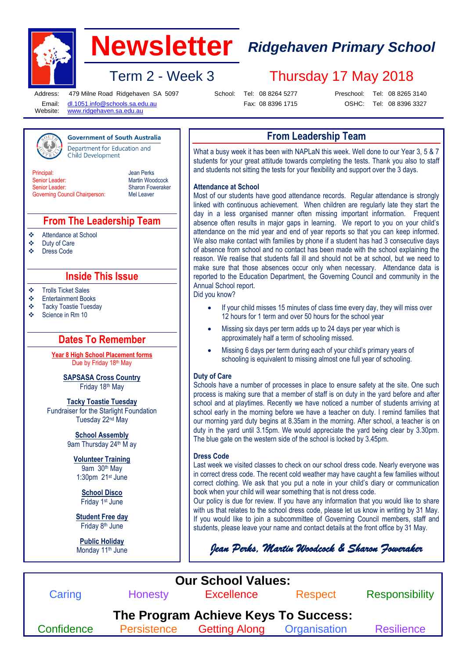

# **Newsletter** *Ridgehaven Primary School*

## Term 2 - Week 3 Thursday 17 May 2018

Address: Email: Website: 479 Milne Road Ridgehaven SA 5097

**Government of South Australia** 

School: Tel: 08 8264 5277 Fax: 08 8396 1715

[dl.1051.info@schools.sa.edu.au](mailto:dl.1051.info@schools.sa.edu.au) [www.ridgehaven.sa.edu.au](http://www.ridgehaven.sa.edu.au/)

Preschool: Tel: 08 8265 3140 OSHC: Tel: 08 8396 3327

**From Leadership Team**

What a busy week it has been with NAPLaN this week. Well done to our Year 3, 5 & 7 students for your great attitude towards completing the tests. Thank you also to staff and students not sitting the tests for your flexibility and support over the 3 days.

#### **Attendance at School**

Most of our students have good attendance records. Regular attendance is strongly linked with continuous achievement. When children are regularly late they start the day in a less organised manner often missing important information. Frequent absence often results in major gaps in learning. We report to you on your child's attendance on the mid year and end of year reports so that you can keep informed. We also make contact with families by phone if a student has had 3 consecutive days of absence from school and no contact has been made with the school explaining the reason. We realise that students fall ill and should not be at school, but we need to make sure that those absences occur only when necessary. Attendance data is reported to the Education Department, the Governing Council and community in the Annual School report.

Did you know?

- If your child misses 15 minutes of class time every day, they will miss over 12 hours for 1 term and over 50 hours for the school year
- Missing six days per term adds up to 24 days per year which is approximately half a term of schooling missed.
- Missing 6 days per term during each of your child's primary years of schooling is equivalent to missing almost one full year of schooling.

#### **Duty of Care**

Schools have a number of processes in place to ensure safety at the site. One such process is making sure that a member of staff is on duty in the yard before and after school and at playtimes. Recently we have noticed a number of students arriving at school early in the morning before we have a teacher on duty. I remind families that our morning yard duty begins at 8.35am in the morning. After school, a teacher is on duty in the yard until 3.15pm. We would appreciate the yard being clear by 3.30pm. The blue gate on the western side of the school is locked by 3.45pm.

#### **Dress Code**

Last week we visited classes to check on our school dress code. Nearly everyone was in correct dress code. The recent cold weather may have caught a few families without correct clothing. We ask that you put a note in your child's diary or communication book when your child will wear something that is not dress code.

Our policy is due for review. If you have any information that you would like to share with us that relates to the school dress code, please let us know in writing by 31 May. If you would like to join a subcommittee of Governing Council members, staff and students, please leave your name and contact details at the front office by 31 May.

*Jean Perks, Martin Woodcock & Sharon Foweraker*



Department for Education and **Child Development** 

**Principal** Senior Leader: Senior Leader: Governing Council Chairperson: Jean Perks Martin Woodcock Sharon Foweraker Mel Leaver

#### **From The Leadership Team**

Attendance at School

- ❖ Duty of Care<br>❖ Dress Code
- Dress Code

#### **Inside This Issue**

Trolls Ticket Sales

- Entertainment Books
- ❖ Tacky Toastie Tuesday<br>❖ Science in Rm 10
- Science in Rm 10

### **Dates To Remember**

**Year 8 High School Placement forms** Due by Friday 18th May

> **SAPSASA Cross Country** Friday 18th May

**Tacky Toastie Tuesday** Fundraiser for the Starlight Foundation Tuesday 22nd May

> **School Assembly** 9am Thursday 24<sup>th</sup> M ay

**Volunteer Training** 9am 30th May 1:30pm 21st June

> **School Disco** Friday 1st June

**Student Free day**  Friday 8<sup>th</sup> June

**Public Holiday**  Monday 11<sup>th</sup> June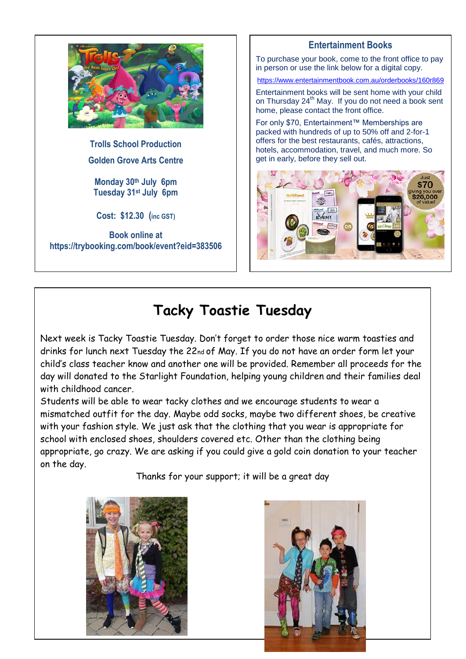

**Trolls School Production Golden Grove Arts Centre**

**Monday 30th July 6pm Tuesday 31st July 6pm**

**Cost: \$12.30 (inc GST)**

**Book online at https://trybooking.com/book/event?eid=383506**

### **Entertainment Books**

To purchase your book, come to the front office to pay in person or use the link below for a digital copy.

<https://www.entertainmentbook.com.au/orderbooks/160r869>

Entertainment books will be sent home with your child on Thursday 24<sup>th</sup> May. If you do not need a book sent home, please contact the front office.

For only \$70, Entertainment™ Memberships are packed with hundreds of up to 50% off and 2-for-1 offers for the best restaurants, cafés, attractions, hotels, accommodation, travel, and much more. So get in early, before they sell out.



## **Tacky Toastie Tuesday**

Next week is Tacky Toastie Tuesday. Don't forget to order those nice warm toasties and drinks for lunch next Tuesday the 22nd of May. If you do not have an order form let your child's class teacher know and another one will be provided. Remember all proceeds for the day will donated to the Starlight Foundation, helping young children and their families deal with childhood cancer.

Students will be able to wear tacky clothes and we encourage students to wear a mismatched outfit for the day. Maybe odd socks, maybe two different shoes, be creative with your fashion style. We just ask that the clothing that you wear is appropriate for school with enclosed shoes, shoulders covered etc. Other than the clothing being appropriate, go crazy. We are asking if you could give a gold coin donation to your teacher on the day.

Thanks for your support; it will be a great day